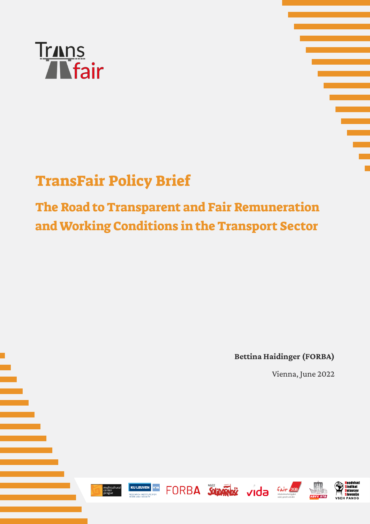



# TransFair Policy Brief

## The Road to Transparent and Fair Remuneration and Working Conditions in the Transport Sector

**Bettina Haidinger (FORBA)**

fair

Vienna, June 2022











FORBA SOLDARIOS vida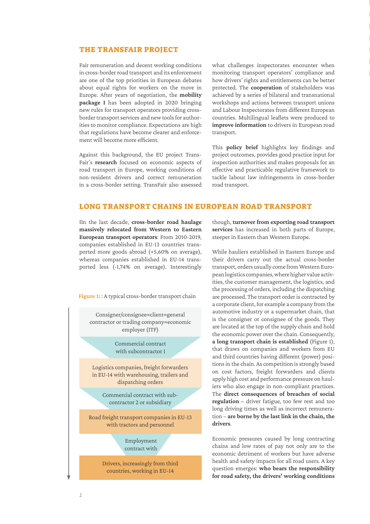#### The TransFair project

Fair remuneration and decent working conditions in cross-border road transport and its enforcement are one of the top priorities in European debates about equal rights for workers on the move in Europe. After years of negotiation, the **mobility package I** has been adopted in 2020 bringing new rules for transport operators providing crossborder transport services and new tools for authorities to monitor compliance. Expectations are high that regulations have become clearer and enforcement will become more efficient.

Against this background, the EU project Trans-Fair's **research** focused on economic aspects of road transport in Europe, working conditions of non-resident drivers and correct remuneration in a cross-border setting. TransFair also assessed what challenges inspectorates encounter when monitoring transport operators' compliance and how drivers' rights and entitlements can be better protected. The **cooperation** of stakeholders was achieved by a series of bilateral and transnational workshops and actions between transport unions and Labour Inspectorates from different European countries. Multilingual leaflets were produced to **improve information** to drivers in European road transport.

This **policy brief** highlights key findings and project outcomes, provides good practice input for inspection authorities and makes proposals for an effective and practicable regulative framework to tackle labour law infringements in cross-border road transport.

#### Long transport chains in European road transport

IIn the last decade, **cross-border road haulage massively relocated from Western to Eastern European transport operators**: From 2010-2019, companies established in EU-13 countries transported more goods abroad (+5,60% on average), whereas companies established in EU-14 transported less (-1,74% on average). Interestingly

Figure 1: A typical cross-border transport chain

Consigner/consignee=client=general contractor or trading company=economic employer (ITF)

> Commercial contract with subcontractor 1

Logistics companies, freight forwarders in EU-14 with warehousing, trailers and dispatching orders

Commercial contract with subcontractor 2 or subsidiary

Road freight transport companies in EU-13 with tractors and personnel

> Employment contract with

Drivers, increasingly from third countries, working in EU-14

though, **turnover from exporting road transport services** has increased in both parts of Europe, steeper in Eastern than Western Europe.

While hauliers established in Eastern Europe and their drivers carry out the actual cross-border transport, orders usually come from Western European logistics companies, where higher value activities, the customer management, the logistics, and the processing of orders, including the dispatching are processed. The transport order is contracted by a corporate client, for example a company from the automotive industry or a supermarket chain, that is the consigner or consignee of the goods. They are located at the top of the supply chain and hold the economic power over the chain. Consequently, **a long transport chain is established** (Figure 1), that draws on companies and workers from EU and third countries having different (power) positions in the chain. As competition is strongly based on cost factors, freight forwarders and clients apply high cost and performance pressure on hauliers who also engage in non-compliant practices. The **direct consequences of breaches of social regulation** – driver fatigue, too few rest and too long driving times as well as incorrect remuneration – **are borne by the last link in the chain, the drivers**.

Economic pressures caused by long contracting chains and low rates of pay not only are to the economic detriment of workers but have adverse health and safety impacts for all road users. A key question emerges: **who bears the responsibility for road safety, the drivers' working conditions**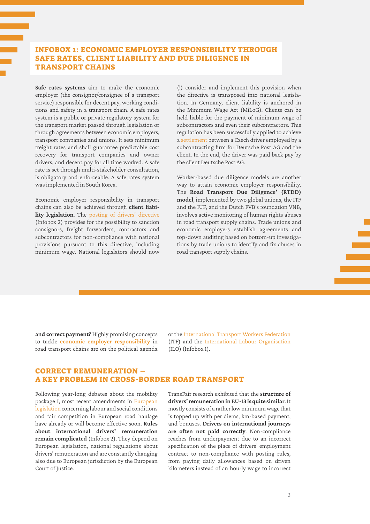## Infobox 1: Economic employer responsibility through safe rates, client liability and due diligence in transport chains

**Safe rates systems** aim to make the economic employer (the consignor/consignee of a transport service) responsible for decent pay, working conditions and safety in a transport chain. A safe rates system is a public or private regulatory system for the transport market passed through legislation or through agreements between economic employers, transport companies and unions. It sets minimum freight rates and shall guarantee predictable cost recovery for transport companies and owner drivers, and decent pay for all time worked. A safe rate is set through multi-stakeholder consultation, is obligatory and enforceable. A safe rates system was implemented in South Korea.

Economic employer responsibility in transport chains can also be achieved through **client liability legislation**. The [posting of drivers' directive](https://eur-lex.europa.eu/eli/dir/2020/1057/oj) (Infobox 2) provides for the possibility to sanction consignors, freight forwarders, contractors and subcontractors for non-compliance with national provisions pursuant to this directive, including minimum wage. National legislators should now

(!) consider and implement this provision when the directive is transposed into national legislation. In Germany, client liability is anchored in the Minimum Wage Act (MiLoG). Clients can be held liable for the payment of minimum wage of subcontractors and even their subcontractors. This regulation has been successfully applied to achieve a [settlement](https://www.faire-mobilitaet.de/faelle/%2B%2Bco%2B%2B1786d43c-7402-11e8-89d7-52540088cada) between a Czech driver employed by a subcontracting firm for Deutsche Post AG and the client. In the end, the driver was paid back pay by the client Deutsche Post AG.

Worker-based due diligence models are another way to attain economic employer responsibility. The **Road Transport Due Diligence' (RTDD) model**, implemented by two global unions, the ITF and the IUF, and the Dutch FVB's foundation VNB, involves active monitoring of human rights abuses in road transport supply chains. Trade unions and economic employers establish agreements and top-down auditing based on bottom-up investigations by trade unions to identify and fix abuses in road transport supply chains.

**and correct payment?** Highly promising concepts to tackle **[economic employer responsibility](https://transfair-project.eu/wp-content/uploads/2022/04/3-TF-31032022-Liem-ITF-Safe-Rates-and-Economic-Employer-Responsibility.pdf)** in road transport chains are on the political agenda of the [International Transport Workers Federation](https://www.itfglobal.org/sites/default/files/node/resources/files/ITF-Economic-Employer-Strategy.pdf)  (ITF) and the [International Labour Organisation](https://www.ilo.org/wcmsp5/groups/public/---ed_dialogue/---sector/documents/normativeinstrument/wcms_742633.pdf)  (ILO) (Infobox 1).

## Correct remuneration – a key problem in cross-border road transport

Following year-long debates about the mobility package I, most recent amendments in [European](https://transport.ec.europa.eu/transport-modes/road/mobility-package-i_en)  [legislation](https://transport.ec.europa.eu/transport-modes/road/mobility-package-i_en) concerning labour and social conditions and fair competition in European road haulage have already or will become effective soon. **Rules about international drivers' remuneration remain complicated** (Infobox 2). They depend on European legislation, national regulations about drivers' remuneration and are constantly changing also due to European jurisdiction by the European Court of Justice.

TransFair research exhibited that the **structure of drivers' remuneration in EU-13 is quite similar**. It mostly consists of a rather low minimum wage that is topped up with per diems, km-based payment, and bonuses. **Drivers on international journeys are often not paid correctly**. Non-compliance reaches from underpayment due to an incorrect specification of the place of drivers' employment contract to non-compliance with posting rules, from paying daily allowances based on driven kilometers instead of an hourly wage to incorrect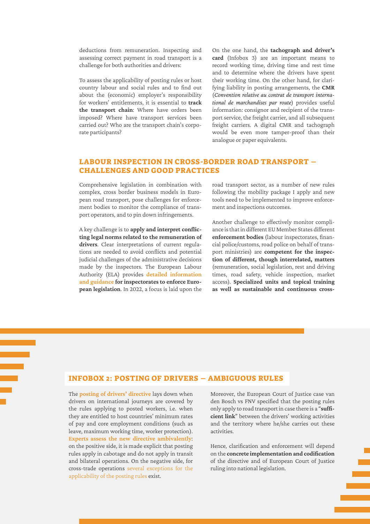deductions from remuneration. Inspecting and assessing correct payment in road transport is a challenge for both authorities and drivers:

To assess the applicability of posting rules or host country labour and social rules and to find out about the (economic) employer's responsibility for workers' entitlements, it is essential to **track the transport chain**: Where have orders been imposed? Where have transport services been carried out? Who are the transport chain's corporate participants?

On the one hand, the **tachograph and driver's card** (Infobox 3) are an important means to record working time, driving time and rest time and to determine where the drivers have spent their working time. On the other hand, for clarifying liability in posting arrangements, the **CMR** (*Convention relative au contrat de transport international de marchandises par route*) provides useful information: consignor and recipient of the transport service, the freight carrier, and all subsequent freight carriers. A digital CMR and tachograph would be even more tamper-proof than their analogue or paper equivalents.

## Labour inspection in cross-border road transport – challenges and good practices

Comprehensive legislation in combination with complex, cross border business models in European road transport, pose challenges for enforcement bodies to monitor the compliance of transport operators, and to pin down infringements.

A key challenge is to **apply and interpret conflicting legal norms related to the remuneration of drivers**. Clear interpretations of current regulations are needed to avoid conflicts and potential judicial challenges of the administrative decisions made by the inspectors. The European Labour Authority (ELA) provides **[detailed information](https://www.ela.europa.eu/en/road-transport)  [and guidance](https://www.ela.europa.eu/en/road-transport) for inspectorates to enforce European legislation**. In 2022, a focus is laid upon the

road transport sector, as a number of new rules following the mobility package I apply and new tools need to be implemented to improve enforcement and inspections outcomes.

Another challenge to effectively monitor compliance is that in different EU Member States different **enforcement bodies** (labour inspectorates, financial police/customs, road police on behalf of transport ministries) are **competent for the inspection of different, though interrelated, matters**  (remuneration, social legislation, rest and driving times, road safety, vehicle inspection, market access). **Specialized units and topical training as well as sustainable and continuous cross-**

#### Infobox 2: Posting of drivers – ambiguous rules

The **[posting of drivers' directive](https://eur-lex.europa.eu/eli/dir/2020/1057/oj)** lays down when drivers on international journeys are covered by the rules applying to posted workers, i.e. when they are entitled to host countries' minimum rates of pay and core employment conditions (such as leave, maximum working time, worker protection). **[Experts assess the new directive ambivalently](https://transfair-project.eu/wp-content/uploads/2022/04/6-TF-31032022-Overbeeke-IJI-Transport-Posting-legal-aspects.pdf)**: on the positive side, it is made explicit that posting rules apply in cabotage and do not apply in transit and bilateral operations. On the negative side, for cross-trade operations [several exceptions for the](https://transport.ec.europa.eu/transport-modes/road/mobility-package-i/posting-rules/questions-and-answers-posting-drivers-under-directive-eu-20201057_en) [applicability of the posting rules e](https://transport.ec.europa.eu/transport-modes/road/mobility-package-i/posting-rules/questions-and-answers-posting-drivers-under-directive-eu-20201057_en)xist.

Moreover, the European Court of Justice case van den Bosch vs FNV specified that the posting rules only apply to road transport in case there is a "**sufficient link**" between the drivers' working activities and the territory where he/she carries out these activities.

Hence, clarification and enforcement will depend on the **concrete implementation and codification**  of the directive and of European Court of Justice ruling into national legislation.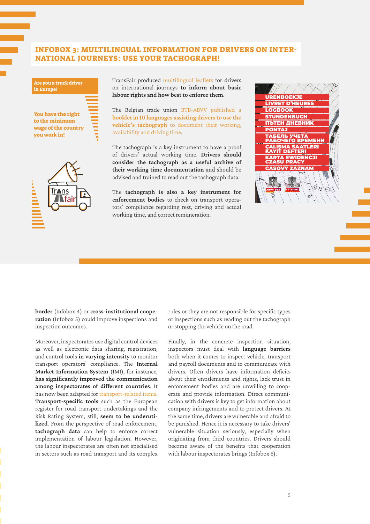#### Infobox 3: Multilingual information for drivers on international journeys: use your tachograph!





TransFair produced [multilingual leaflets](https://transfair-project.eu/wp-content/uploads/2021/12/EN_TransFair-Flyer_CZ_FINAL.pdf%20) for drivers on international journeys **to inform about basic labour rights and how best to enforce them**.

The Belgian trade union [BTB-ABVV published a](https://transfair-project.eu/wp-content/uploads/2022/04/Booklet-Using-Tachograph-to-document-Working-Time-BTB-ABVV.pdf) **[booklet in 10 languages assisting drivers to use the](https://transfair-project.eu/wp-content/uploads/2022/04/Booklet-Using-Tachograph-to-document-Working-Time-BTB-ABVV.pdf) vehicle's tachograph** [to document their working,](https://transfair-project.eu/wp-content/uploads/2022/04/Booklet-Using-Tachograph-to-document-Working-Time-BTB-ABVV.pdf) [availability and driving time](https://transfair-project.eu/wp-content/uploads/2022/04/Booklet-Using-Tachograph-to-document-Working-Time-BTB-ABVV.pdf).

The tachograph is a key instrument to have a proof of drivers' actual working time. **Drivers should consider the tachograph as a useful archive of their working time documentation** and should be advised and trained to read out the tachograph data.

The **tachograph is also a key instrument for enforcement bodies** to check on transport operators' compliance regarding rest, driving and actual working time, and correct remuneration.



**border** (Infobox 4) or **cross-institutional cooperation** (Infobox 5) could improve inspections and inspection outcomes.

Moreover, inspectorates use digital control devices as well as electronic data sharing, registration, and control tools **in varying intensity** to monitor transport operators' compliance. The **Internal Market Information System** (IMI), for instance, **has significantly improved the communication among inspectorates of different countries**. It has now been adapted for [transport-related items.](https://www.ela.europa.eu/en/road-transport) **Transport-specific tools** such as the European register for road transport undertakings and the Risk Rating System, still, **seem to be underutilized**. From the perspective of road enforcement, **tachograph data** can help to enforce correct implementation of labour legislation. However, the labour inspectorates are often not specialised in sectors such as road transport and its complex

rules or they are not responsible for specific types of inspections such as reading out the tachograph or stopping the vehicle on the road.

Finally, in the concrete inspection situation, inspectors must deal with **language barriers**  both when it comes to inspect vehicle, transport and payroll documents and to communicate with drivers. Often drivers have information deficits about their entitlements and rights, lack trust in enforcement bodies and are unwilling to cooperate and provide information. Direct communication with drivers is key to get information about company infringements and to protect drivers. At the same time, drivers are vulnerable and afraid to be punished. Hence it is necessary to take drivers' vulnerable situation seriously, especially when originating from third countries. Drivers should become aware of the benefits that cooperation with labour inspectorates brings (Infobox 6).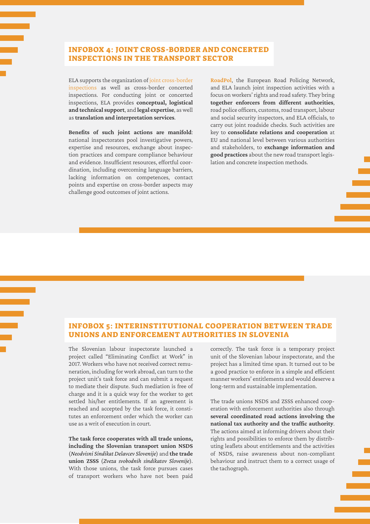## Infobox 4: Joint cross-border and concerted inspections in the transport sector

ELA supports the organization of [joint cross-border](https://transfair-project.eu/wp-content/uploads/2022/04/13-TF-01042022-Lukasevicius-ELA-Road-Transport-Concerted-Joint-Actionsm.pdf%20) [inspections](https://transfair-project.eu/wp-content/uploads/2022/04/13-TF-01042022-Lukasevicius-ELA-Road-Transport-Concerted-Joint-Actionsm.pdf%20) as well as cross-border concerted inspections. For conducting joint or concerted inspections, ELA provides **conceptual, logistical and technical support**, and **legal expertise**, as well as **translation and interpretation services**.

**Benefits of such joint actions are manifold**: national inspectorates pool investigative powers, expertise and resources, exchange about inspection practices and compare compliance behaviour and evidence. Insufficient resources, effortful coordination, including overcoming language barriers, lacking information on competences, contact points and expertise on cross-border aspects may challenge good outcomes of joint actions.

**[RoadPol](https://transfair-project.eu/wp-content/uploads/2022/04/12-TF-01042022-ROADPOL-Veic-Road-safety-beyond-the-borders.pdf)**, the European Road Policing Network, and ELA launch joint inspection activities with a focus on workers' rights and road safety. They bring **together enforcers from different authorities**, road police officers, customs, road transport, labour and social security inspectors, and ELA officials, to carry out joint roadside checks. Such activities are key to **consolidate relations and cooperation** at EU and national level between various authorities and stakeholders, to **exchange information and good practices** about the new road transport legislation and concrete inspection methods.

#### Infobox 5: Interinstitutional cooperation between trade unions and enforcement authorities in Slovenia

The Slovenian labour inspectorate launched a project called "Eliminating Conflict at Work" in 2017. Workers who have not received correct remuneration, including for work abroad, can turn to the project unit's task force and can submit a request to mediate their dispute. Such mediation is free of charge and it is a quick way for the worker to get settled his/her entitlements. If an agreement is reached and accepted by the task force, it constitutes an enforcement order which the worker can use as a writ of execution in court.

**The task force cooperates with all trade unions, including the Slovenian transport union NSDS**  (*Neodvisni Sindikat Delavcev Slovenije*) and **the trade union ZSSS** (*Zveza svobodnih sindikatov Slovenije*). With those unions, the task force pursues cases of transport workers who have not been paid

correctly. The task force is a temporary project unit of the Slovenian labour inspectorate, and the project has a limited time span. It turned out to be a good practice to enforce in a simple and efficient manner workers' entitlements and would deserve a long-term and sustainable implementation.

The trade unions NSDS and ZSSS enhanced cooperation with enforcement authorities also through **several coordinated road actions involving the national tax authority and the traffic authority**. The actions aimed at informing drivers about their rights and possibilities to enforce them by distributing leaflets about entitlements and the activities of NSDS, raise awareness about non-compliant behaviour and instruct them to a correct usage of the tachograph.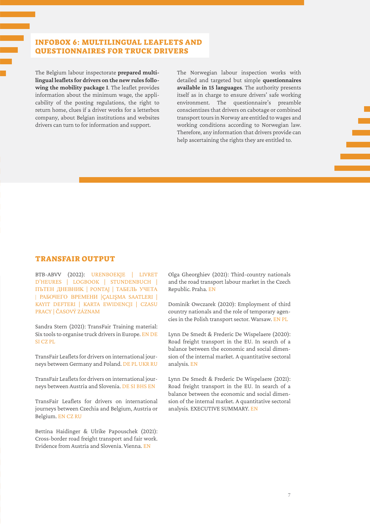## Infobox 6: Multilingual leaflets and questionnaires for truck drivers

The Belgium labour inspectorate **prepared multilingual leaflets for drivers on the new rules following the mobility package I**. The leaflet provides information about the minimum wage, the applicability of the posting regulations, the right to return home, clues if a driver works for a letterbox company, about Belgian institutions and websites drivers can turn to for information and support.

The Norwegian labour inspection works with detailed and targeted but simple **questionnaires available in 15 languages**. The authority presents itself as in charge to ensure drivers' safe working environment. The questionnaire's preamble conscientizes that drivers on cabotage or combined transport tours in Norway are entitled to wages and working conditions according to Norwegian law. Therefore, any information that drivers provide can help ascertaining the rights they are entitled to.

#### TransFair Output

BTB-ABVV (2022): [URENBOEKJE | LIVRET](https://transfair-project.eu/wp-content/uploads/2022/04/Booklet-Using-Tachograph-to-document-Working-Time-BTB-ABVV.pdf%20)  [D'HEURES | LOGBOOK | STUNDENBUCH |](https://transfair-project.eu/wp-content/uploads/2022/04/Booklet-Using-Tachograph-to-document-Working-Time-BTB-ABVV.pdf%20)  [ПЪТЕН ДНЕВНИK](https://transfair-project.eu/wp-content/uploads/2022/04/Booklet-Using-Tachograph-to-document-Working-Time-BTB-ABVV.pdf%20) | PONTAJ | ТАБЕЛЬ УЧЕТА | РАБОЧЕГО ВРЕМЕНИ [|ÇALIŞMA SAATLERI |](https://transfair-project.eu/wp-content/uploads/2022/04/Booklet-Using-Tachograph-to-document-Working-Time-BTB-ABVV.pdf%20)  [KAYIT DEFTERI | KARTA EWIDENCJI | CZASU](https://transfair-project.eu/wp-content/uploads/2022/04/Booklet-Using-Tachograph-to-document-Working-Time-BTB-ABVV.pdf%20)  [PRACY | ČASOVÝ ZÁZNAM](https://transfair-project.eu/wp-content/uploads/2022/04/Booklet-Using-Tachograph-to-document-Working-Time-BTB-ABVV.pdf%20)

Sandra Stern (2021): TransFair Training material: Six tools to organise truck drivers in Europe. [EN](https://transfair-project.eu/wp-content/uploads/2021/09/Training-material_TransFair_EN.pdf) [DE](https://transfair-project.eu/wp-content/uploads/2021/09/Training-material_TransFair_DE.pdf%20) [SI](https://transfair-project.eu/wp-content/uploads/2021/09/Training-material_TransFair_SI.pdf) [CZ](https://transfair-project.eu/wp-content/uploads/2021/09/Training-material_TransFair_CZ.pdf%20) [PL](https://transfair-project.eu/wp-content/uploads/2021/09/Training-material_TransFair_PL.pdf%20)

TransFair Leaflets for drivers on international journeys between Germany and Poland. [DE](https://transfair-project.eu/wp-content/uploads/2021/02/FM_Solidarnosc_2020_Leaflet_TransFair_DE.pdf) [PL](https://transfair-project.eu/wp-content/uploads/2021/02/FM_Solidarnosc_2020_Leaflet_TransFair_PL.pdf) [UKR](https://transfair-project.eu/wp-content/uploads/2021/09/TransFair-Leaflet-DE-PL_UKR.pdf) [RU](https://transfair-project.eu/wp-content/uploads/2021/09/TransFair-Leaflet-DE-PL_RU.pdf)

TransFair Leaflets for drivers on international journeys between Austria and Slovenia. [DE](https://transfair-project.eu/wp-content/uploads/2021/04/DE_TransFair-Flyer_SI-AT_FINAL.pdf) [SI](https://transfair-project.eu/wp-content/uploads/2021/04/SLO_TransFair-Flyer_SI-AT_FINAL.pdf) [BHS](https://transfair-project.eu/wp-content/uploads/2021/04/BHS_TransFair-Flyer_SI-AT_FINAL.pdf) [EN](https://transfair-project.eu/wp-content/uploads/2021/04/EN_TransFair-Flyer_SI-AT_FINAL.pdf)

TransFair Leaflets for drivers on international journeys between Czechia and Belgium, Austria or Belgium. [EN](https://transfair-project.eu/wp-content/uploads/2021/12/EN_TransFair-Flyer_CZ_FINAL.pdf) [CZ](https://transfair-project.eu/wp-content/uploads/2021/12/CZ_TransFair-Flyer_CZ_FINAL.pdf) [RU](https://transfair-project.eu/wp-content/uploads/2021/12/RU_TransFair-Flyer_CZ_FINAL.pdf)

Bettina Haidinger & Ulrike Papouschek (2021): Cross-border road freight transport and fair work. Evidence from Austria and Slovenia. Vienna. [EN](https://transfair-project.eu/wp-content/uploads/2021/09/TransFair-Cross-border-road-transport-and-Fair-work-AT-SI.pdf%20)

Olga Gheorghiev (2021): Third-country nationals and the road transport labour market in the Czech Republic. Praha. [EN](https://transfair-project.eu/wp-content/uploads/2021/03/TRANSFAIR_Third_Country_Nationals_CZ_EDITED_-Feb20201.pdf%20)

Dominik Owczarek (2020): Employment of third country nationals and the role of temporary agencies in the Polish transport sector. Warsaw. [EN](https://transfair-project.eu/wp-content/uploads/2021/03/TRANSFAIR_ThirdCountryNationals_PL_EDITED_Feb2021.pdf%20) [PL](https://transfair-project.eu/wp-content/uploads/2022/06/Raport_z_projektu_TransFair_2.pdf)

Lynn De Smedt & Frederic De Wispelaere (2020): Road freight transport in the EU. In search of a balance between the economic and social dimension of the internal market. A quantitative sectoral analysis. [EN](https://transfair-project.eu/wp-content/uploads/2022/03/TransFair-De-Smedt-De-Wispelaere-Quanti-Dimension-RoadTransport-2020.pdf%20)

Lynn De Smedt & Frederic De Wispelaere (2021): Road freight transport in the EU. In search of a balance between the economic and social dimension of the internal market. A quantitative sectoral analysis. EXECUTIVE SUMMARY. [EN](https://transfair-project.eu/wp-content/uploads/2021/03/TRANSFAIR_Quanti_Dimension_Transport_EU_EDITED_Feb2021.pdf%20)